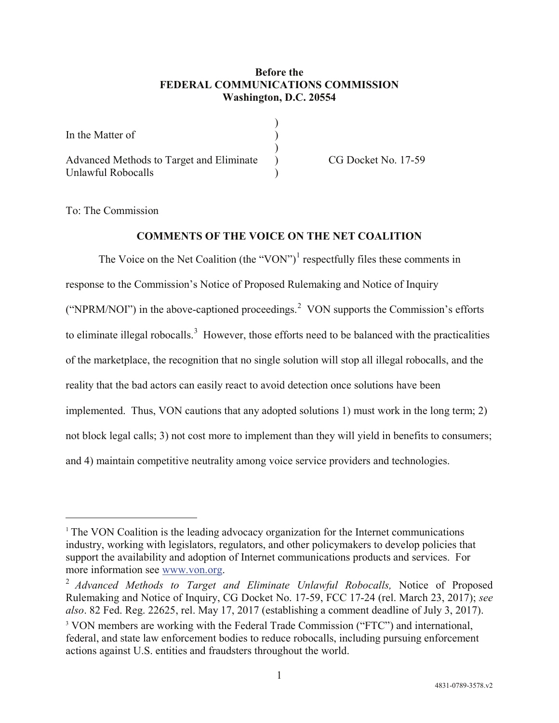## **Before the FEDERAL COMMUNICATIONS COMMISSION Washington, D.C. 20554**

| In the Matter of                                               |  |
|----------------------------------------------------------------|--|
| Advanced Methods to Target and Eliminate<br>Unlawful Robocalls |  |

CG Docket No. 17-59

To: The Commission

 $\overline{a}$ 

## **COMMENTS OF THE VOICE ON THE NET COALITION**

The Voice on the Net Coalition (the "VON")<sup>[1](#page-0-0)</sup> respectfully files these comments in response to the Commission's Notice of Proposed Rulemaking and Notice of Inquiry ("NPRM/NOI") in the above-captioned proceedings.<sup>[2](#page-0-1)</sup> VON supports the Commission's efforts to eliminate illegal robocalls.<sup>[3](#page-0-2)</sup> However, those efforts need to be balanced with the practicalities of the marketplace, the recognition that no single solution will stop all illegal robocalls, and the reality that the bad actors can easily react to avoid detection once solutions have been implemented. Thus, VON cautions that any adopted solutions 1) must work in the long term; 2) not block legal calls; 3) not cost more to implement than they will yield in benefits to consumers; and 4) maintain competitive neutrality among voice service providers and technologies.

<span id="page-0-0"></span><sup>&</sup>lt;sup>1</sup> The VON Coalition is the leading advocacy organization for the Internet communications industry, working with legislators, regulators, and other policymakers to develop policies that support the availability and adoption of Internet communications products and services. For more information see [www.von.org.](http://www.von.org/)

<span id="page-0-2"></span><span id="page-0-1"></span><sup>2</sup> *Advanced Methods to Target and Eliminate Unlawful Robocalls,* Notice of Proposed Rulemaking and Notice of Inquiry, CG Docket No. 17-59, FCC 17-24 (rel. March 23, 2017); *see also*. 82 Fed. Reg. 22625, rel. May 17, 2017 (establishing a comment deadline of July 3, 2017). <sup>3</sup> VON members are working with the Federal Trade Commission ("FTC") and international, federal, and state law enforcement bodies to reduce robocalls, including pursuing enforcement actions against U.S. entities and fraudsters throughout the world.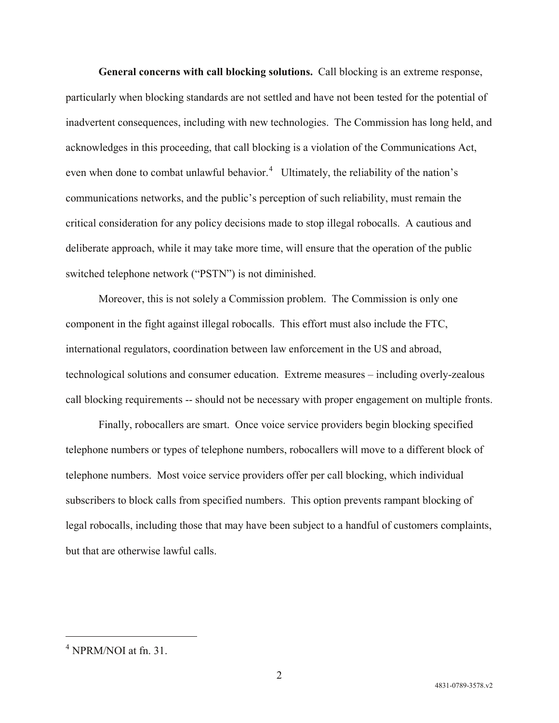**General concerns with call blocking solutions.** Call blocking is an extreme response, particularly when blocking standards are not settled and have not been tested for the potential of inadvertent consequences, including with new technologies. The Commission has long held, and acknowledges in this proceeding, that call blocking is a violation of the Communications Act, even when done to combat unlawful behavior.<sup>[4](#page-1-0)</sup> Ultimately, the reliability of the nation's communications networks, and the public's perception of such reliability, must remain the critical consideration for any policy decisions made to stop illegal robocalls. A cautious and deliberate approach, while it may take more time, will ensure that the operation of the public switched telephone network ("PSTN") is not diminished.

Moreover, this is not solely a Commission problem. The Commission is only one component in the fight against illegal robocalls. This effort must also include the FTC, international regulators, coordination between law enforcement in the US and abroad, technological solutions and consumer education. Extreme measures – including overly-zealous call blocking requirements -- should not be necessary with proper engagement on multiple fronts.

Finally, robocallers are smart. Once voice service providers begin blocking specified telephone numbers or types of telephone numbers, robocallers will move to a different block of telephone numbers. Most voice service providers offer per call blocking, which individual subscribers to block calls from specified numbers. This option prevents rampant blocking of legal robocalls, including those that may have been subject to a handful of customers complaints, but that are otherwise lawful calls.

<span id="page-1-0"></span> $4$  NPRM/NOI at fn. 31.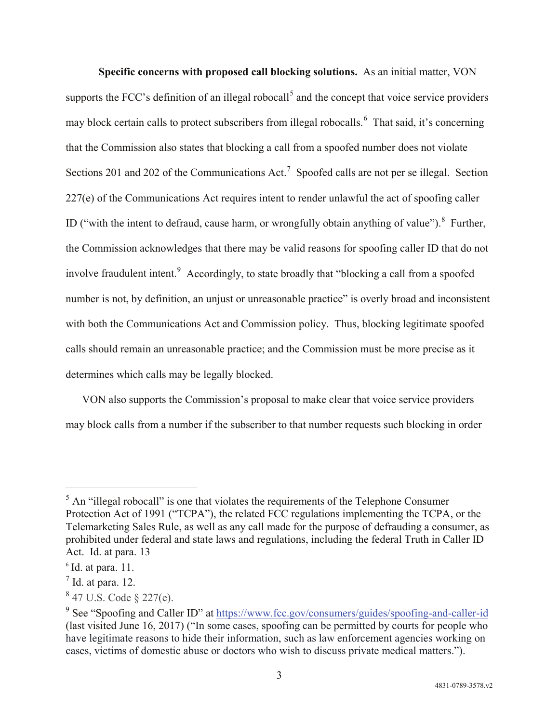**Specific concerns with proposed call blocking solutions.** As an initial matter, VON supports the FCC's definition of an illegal robocall<sup>[5](#page-2-0)</sup> and the concept that voice service providers may block certain calls to protect subscribers from illegal robocalls.<sup>[6](#page-2-1)</sup> That said, it's concerning that the Commission also states that blocking a call from a spoofed number does not violate Sections 201 and 202 of the Communications Act.<sup>[7](#page-2-2)</sup> Spoofed calls are not per se illegal. Section 227(e) of the Communications Act requires intent to render unlawful the act of spoofing caller ID ("with the intent to defraud, cause harm, or wrongfully obtain anything of value"). <sup>[8](#page-2-3)</sup> Further, the Commission acknowledges that there may be valid reasons for spoofing caller ID that do not involve fraudulent intent.<sup>[9](#page-2-4)</sup> Accordingly, to state broadly that "blocking a call from a spoofed number is not, by definition, an unjust or unreasonable practice" is overly broad and inconsistent with both the Communications Act and Commission policy. Thus, blocking legitimate spoofed calls should remain an unreasonable practice; and the Commission must be more precise as it determines which calls may be legally blocked.

VON also supports the Commission's proposal to make clear that voice service providers may block calls from a number if the subscriber to that number requests such blocking in order

<span id="page-2-0"></span> $<sup>5</sup>$  An "illegal robocall" is one that violates the requirements of the Telephone Consumer</sup> Protection Act of 1991 ("TCPA"), the related FCC regulations implementing the TCPA, or the Telemarketing Sales Rule, as well as any call made for the purpose of defrauding a consumer, as prohibited under federal and state laws and regulations, including the federal Truth in Caller ID Act. Id. at para. 13

<span id="page-2-1"></span> $6$  Id. at para. 11.

<span id="page-2-2"></span> $<sup>7</sup>$  Id. at para. 12.</sup>

<span id="page-2-3"></span><sup>8</sup> 47 U.S. Code § 227(e).

<span id="page-2-4"></span><sup>9</sup> See "Spoofing and Caller ID" at<https://www.fcc.gov/consumers/guides/spoofing-and-caller-id> (last visited June 16, 2017) ("In some cases, spoofing can be permitted by courts for people who have legitimate reasons to hide their information, such as law enforcement agencies working on cases, victims of domestic abuse or doctors who wish to discuss private medical matters.").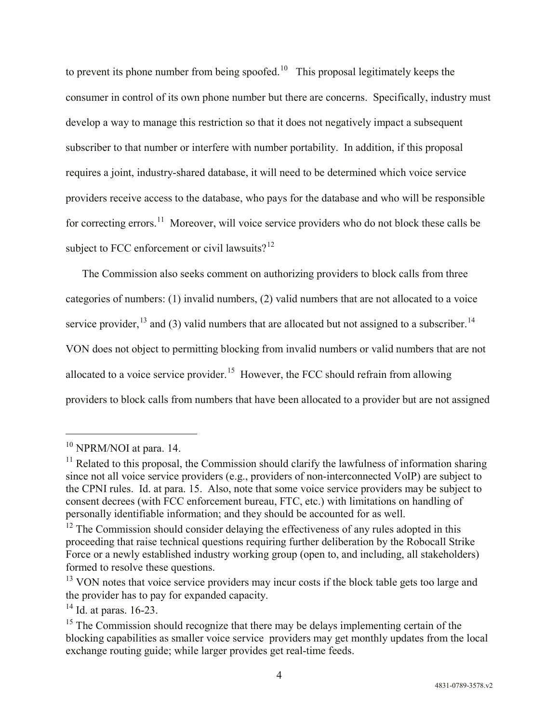to prevent its phone number from being spoofed.<sup>[10](#page-3-0)</sup> This proposal legitimately keeps the consumer in control of its own phone number but there are concerns. Specifically, industry must develop a way to manage this restriction so that it does not negatively impact a subsequent subscriber to that number or interfere with number portability. In addition, if this proposal requires a joint, industry-shared database, it will need to be determined which voice service providers receive access to the database, who pays for the database and who will be responsible for correcting errors.[11](#page-3-1) Moreover, will voice service providers who do not block these calls be subject to FCC enforcement or civil lawsuits?<sup>12</sup>

The Commission also seeks comment on authorizing providers to block calls from three categories of numbers: (1) invalid numbers, (2) valid numbers that are not allocated to a voice service provider,  $^{13}$  $^{13}$  $^{13}$  and (3) valid numbers that are allocated but not assigned to a subscriber.<sup>14</sup> VON does not object to permitting blocking from invalid numbers or valid numbers that are not allocated to a voice service provider.<sup>[15](#page-3-5)</sup> However, the FCC should refrain from allowing providers to block calls from numbers that have been allocated to a provider but are not assigned

<span id="page-3-0"></span><sup>&</sup>lt;sup>10</sup> NPRM/NOI at para. 14.

<span id="page-3-1"></span> $11$  Related to this proposal, the Commission should clarify the lawfulness of information sharing since not all voice service providers (e.g., providers of non-interconnected VoIP) are subject to the CPNI rules. Id. at para. 15. Also, note that some voice service providers may be subject to consent decrees (with FCC enforcement bureau, FTC, etc.) with limitations on handling of personally identifiable information; and they should be accounted for as well.

<span id="page-3-2"></span> $12$  The Commission should consider delaying the effectiveness of any rules adopted in this proceeding that raise technical questions requiring further deliberation by the Robocall Strike Force or a newly established industry working group (open to, and including, all stakeholders) formed to resolve these questions.

<span id="page-3-3"></span> $13$  VON notes that voice service providers may incur costs if the block table gets too large and the provider has to pay for expanded capacity.

<span id="page-3-4"></span><sup>&</sup>lt;sup>14</sup> Id. at paras. 16-23.

<span id="page-3-5"></span><sup>&</sup>lt;sup>15</sup> The Commission should recognize that there may be delays implementing certain of the blocking capabilities as smaller voice service providers may get monthly updates from the local exchange routing guide; while larger provides get real-time feeds.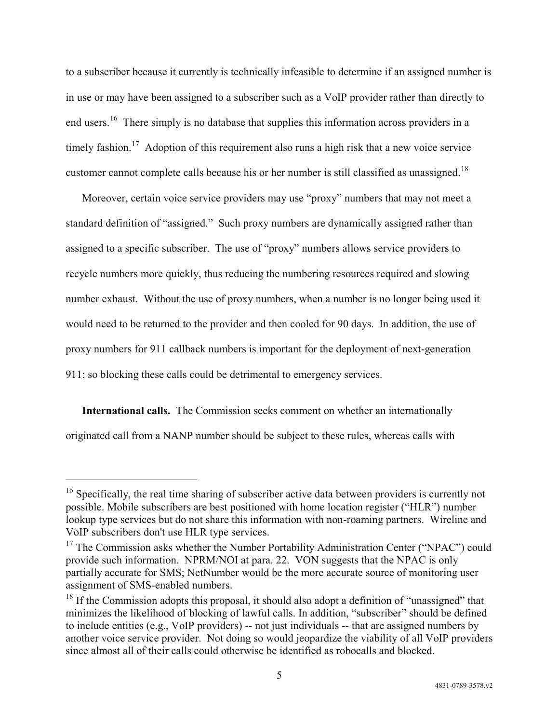to a subscriber because it currently is technically infeasible to determine if an assigned number is in use or may have been assigned to a subscriber such as a VoIP provider rather than directly to end users.<sup>16</sup> There simply is no database that supplies this information across providers in a timely fashion.<sup>17</sup> Adoption of this requirement also runs a high risk that a new voice service customer cannot complete calls because his or her number is still classified as unassigned.<sup>[18](#page-4-2)</sup>

Moreover, certain voice service providers may use "proxy" numbers that may not meet a standard definition of "assigned." Such proxy numbers are dynamically assigned rather than assigned to a specific subscriber. The use of "proxy" numbers allows service providers to recycle numbers more quickly, thus reducing the numbering resources required and slowing number exhaust. Without the use of proxy numbers, when a number is no longer being used it would need to be returned to the provider and then cooled for 90 days. In addition, the use of proxy numbers for 911 callback numbers is important for the deployment of next-generation 911; so blocking these calls could be detrimental to emergency services.

**International calls.** The Commission seeks comment on whether an internationally originated call from a NANP number should be subject to these rules, whereas calls with

<span id="page-4-0"></span><sup>&</sup>lt;sup>16</sup> Specifically, the real time sharing of subscriber active data between providers is currently not possible. Mobile subscribers are best positioned with home location register ("HLR") number lookup type services but do not share this information with non-roaming partners. Wireline and VoIP subscribers don't use HLR type services.<br><sup>17</sup> The Commission asks whether the Number Portability Administration Center ("NPAC") could

<span id="page-4-1"></span>provide such information. NPRM/NOI at para. 22. VON suggests that the NPAC is only partially accurate for SMS; NetNumber would be the more accurate source of monitoring user assignment of SMS-enabled numbers.

<span id="page-4-2"></span> $18$  If the Commission adopts this proposal, it should also adopt a definition of "unassigned" that minimizes the likelihood of blocking of lawful calls. In addition, "subscriber" should be defined to include entities (e.g., VoIP providers) -- not just individuals -- that are assigned numbers by another voice service provider. Not doing so would jeopardize the viability of all VoIP providers since almost all of their calls could otherwise be identified as robocalls and blocked.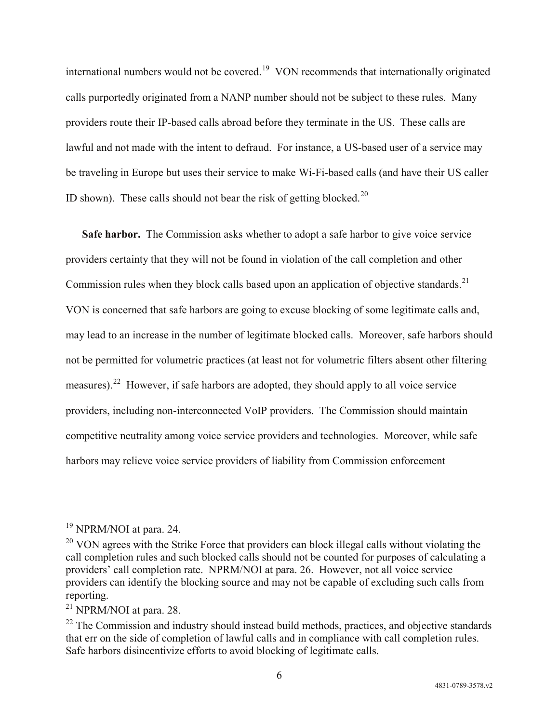international numbers would not be covered.[19](#page-5-0) VON recommends that internationally originated calls purportedly originated from a NANP number should not be subject to these rules. Many providers route their IP-based calls abroad before they terminate in the US. These calls are lawful and not made with the intent to defraud. For instance, a US-based user of a service may be traveling in Europe but uses their service to make Wi-Fi-based calls (and have their US caller ID shown). These calls should not bear the risk of getting blocked.<sup>[20](#page-5-1)</sup>

**Safe harbor.** The Commission asks whether to adopt a safe harbor to give voice service providers certainty that they will not be found in violation of the call completion and other Commission rules when they block calls based upon an application of objective standards.<sup>[21](#page-5-2)</sup> VON is concerned that safe harbors are going to excuse blocking of some legitimate calls and, may lead to an increase in the number of legitimate blocked calls. Moreover, safe harbors should not be permitted for volumetric practices (at least not for volumetric filters absent other filtering measures).[22](#page-5-3) However, if safe harbors are adopted, they should apply to all voice service providers, including non-interconnected VoIP providers. The Commission should maintain competitive neutrality among voice service providers and technologies. Moreover, while safe harbors may relieve voice service providers of liability from Commission enforcement

<span id="page-5-0"></span><sup>&</sup>lt;sup>19</sup> NPRM/NOI at para. 24.

<span id="page-5-1"></span> $20$  VON agrees with the Strike Force that providers can block illegal calls without violating the call completion rules and such blocked calls should not be counted for purposes of calculating a providers' call completion rate. NPRM/NOI at para. 26. However, not all voice service providers can identify the blocking source and may not be capable of excluding such calls from reporting.

<span id="page-5-2"></span><sup>21</sup> NPRM/NOI at para. 28.

<span id="page-5-3"></span> $22$  The Commission and industry should instead build methods, practices, and objective standards that err on the side of completion of lawful calls and in compliance with call completion rules. Safe harbors disincentivize efforts to avoid blocking of legitimate calls.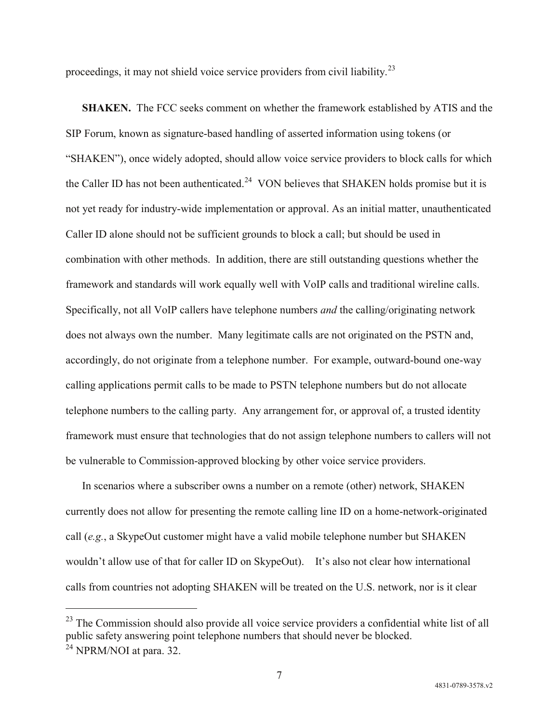proceedings, it may not shield voice service providers from civil liability.[23](#page-6-0)

**SHAKEN.** The FCC seeks comment on whether the framework established by ATIS and the SIP Forum, known as signature-based handling of asserted information using tokens (or "SHAKEN"), once widely adopted, should allow voice service providers to block calls for which the Caller ID has not been authenticated.<sup>[24](#page-6-1)</sup> VON believes that SHAKEN holds promise but it is not yet ready for industry-wide implementation or approval. As an initial matter, unauthenticated Caller ID alone should not be sufficient grounds to block a call; but should be used in combination with other methods. In addition, there are still outstanding questions whether the framework and standards will work equally well with VoIP calls and traditional wireline calls. Specifically, not all VoIP callers have telephone numbers *and* the calling/originating network does not always own the number. Many legitimate calls are not originated on the PSTN and, accordingly, do not originate from a telephone number. For example, outward-bound one-way calling applications permit calls to be made to PSTN telephone numbers but do not allocate telephone numbers to the calling party. Any arrangement for, or approval of, a trusted identity framework must ensure that technologies that do not assign telephone numbers to callers will not be vulnerable to Commission-approved blocking by other voice service providers.

In scenarios where a subscriber owns a number on a remote (other) network, SHAKEN currently does not allow for presenting the remote calling line ID on a home-network-originated call (*e.g.*, a SkypeOut customer might have a valid mobile telephone number but SHAKEN wouldn't allow use of that for caller ID on SkypeOut). It's also not clear how international calls from countries not adopting SHAKEN will be treated on the U.S. network, nor is it clear

<span id="page-6-1"></span><span id="page-6-0"></span><sup>&</sup>lt;sup>23</sup> The Commission should also provide all voice service providers a confidential white list of all public safety answering point telephone numbers that should never be blocked.  $^{24}$  NPRM/NOI at para. 32.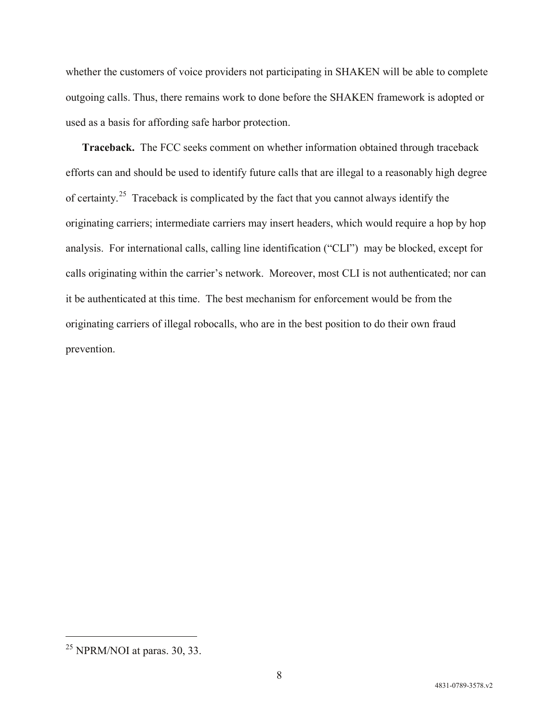whether the customers of voice providers not participating in SHAKEN will be able to complete outgoing calls. Thus, there remains work to done before the SHAKEN framework is adopted or used as a basis for affording safe harbor protection.

**Traceback.** The FCC seeks comment on whether information obtained through traceback efforts can and should be used to identify future calls that are illegal to a reasonably high degree of certainty.[25](#page-7-0) Traceback is complicated by the fact that you cannot always identify the originating carriers; intermediate carriers may insert headers, which would require a hop by hop analysis. For international calls, calling line identification ("CLI") may be blocked, except for calls originating within the carrier's network. Moreover, most CLI is not authenticated; nor can it be authenticated at this time. The best mechanism for enforcement would be from the originating carriers of illegal robocalls, who are in the best position to do their own fraud prevention.

<span id="page-7-0"></span> $^{25}$  NPRM/NOI at paras. 30, 33.